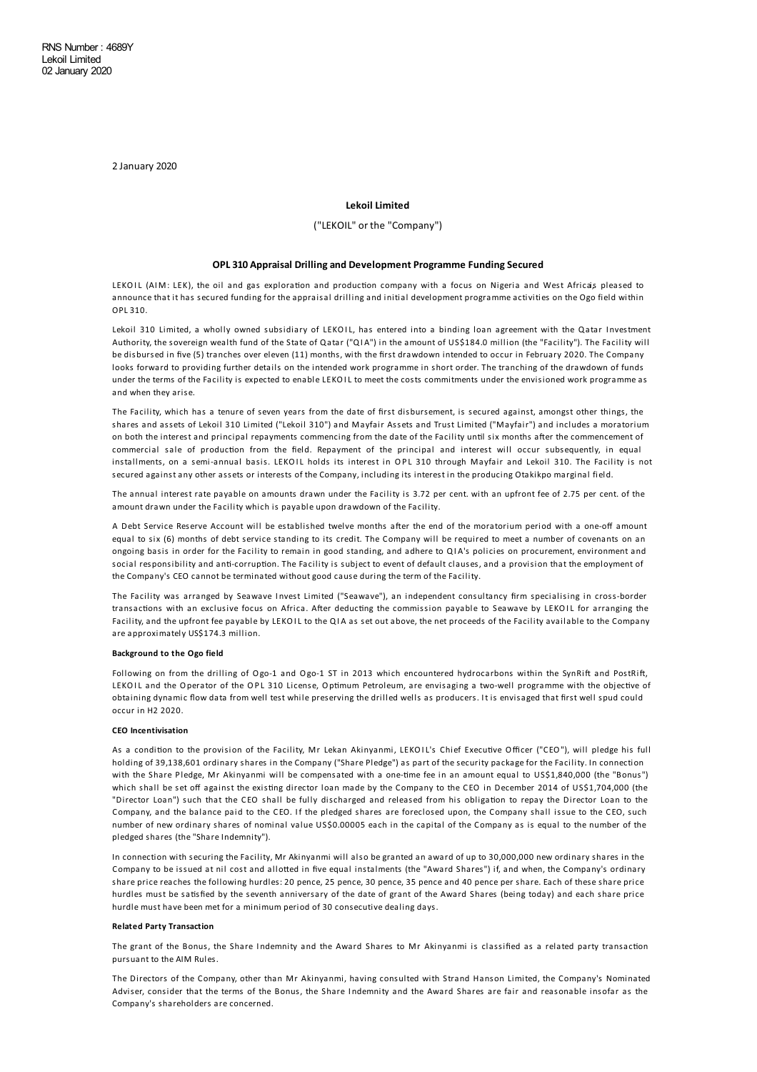2 January 2020

# **Lekoil Limited**

## ("LEKOIL" or the "Company")

#### **OPL 310 Appraisal Drilling and Development Programme FundingSecured**

LEKOIL (AIM: LEK), the oil and gas exploration and production company with a focus on Nigeria and West Africais pleased to announce that it has secured funding for the appraisal drilling and initial development programme activities on the Ogo field within OPL 310.

Lekoil 310 Limited, a wholly owned subsidiary of LEKOIL, has entered into a binding loan agreement with the Qatar I nvestment Authority, the sovereign wealth fund of the State of Qatar ("QI A") in the amount of US\$184.0 million (the "Facility"). The Facility will be disbursed in five (5) tranches over eleven (11) months, with the first drawdown intended to occur in February 2020. The Company looks forward to providing further details on the intended work programme in short order. The tranching of the drawdown of funds under the terms of the Facility is expected to enable LEKOIL to meet the costs commitments under the envisioned work programme as and when they arise.

The Facility, which has a tenure of seven years from the date of first disbursement, is secured against, amongst other things, the shares and assets of Lekoil 310 Limited ("Lekoil 310") and Mayfair Assets and Trust Limited ("Mayfair") and includes a moratorium on both the interest and principal repayments commencing from the date of the Facility until six months after the commencement of commercial sale of production from the field. Repayment of the principal and interest will occur subsequently, in equal installments, on a semi-annual basis. LEKOIL holds its interest in OPL 310 through Mayfair and Lekoil 310. The Facility is not secured against any other assets or interests of the Company, including its interest in the producing Otakikpo marginal field.

The annual interest rate payable on amounts drawn under the Facility is 3.72 per cent. with an upfront fee of 2.75 per cent. of the amount drawn under the Facility which is payable upon drawdown of the Facility.

A Debt Service Reserve Account will be established twelve months after the end of the moratorium period with a one-off amount equal to six (6) months of debt service standing to its credit. The Company will be required to meet a number of covenants on an ongoing basis in order for the Facility to remain in good standing, and adhere to QI A's policies on procurement, environment and social responsibility and anti-corruption. The Facility is subject to event of default clauses, and a provision that the employment of the Company's CEO cannot be terminated without good cause during the term of the Facility.

The Facility was arranged by Seawave Invest Limited ("Seawave"), an independent consultancy firm specialising in cross-border transactions with an exclusive focus on Africa. After deducting the commission payable to Seawave by LEKOIL for arranging the Facility, and the upfront fee payable by LEKOIL to the QI A as set out above, the net proceeds of the Facility available to the Company are approximately US\$174.3 million.

#### **Background to the Ogo field**

Following on from the drilling of Ogo-1 and Ogo-1 ST in 2013 which encountered hydrocarbons within the SynRift and PostRift LEKOIL and the Operator of the OPL 310 License, Optimum Petroleum, are envisaging a two-well programme with the objective of obtaining dynamic flow data from well test while preserving the drilled wells as producers. It is envisaged that first well spud could occur in H2 2020.

#### **CEO Incentivisation**

As a condition to the provision of the Facility, Mr Lekan Akinyanmi, LEKOIL's Chief Executive Officer ("CEO"), will pledge his full holding of 39,138,601 ordinary shares in the Company ("Share Pledge") as part of the security package for the Facility. In connection with the Share Pledge, Mr Akinyanmi will be compensated with a one-time fee in an amount equal to US\$1,840,000 (the "Bonus") which shall be set off against the existing director loan made by the Company to the CEO in December 2014 of US\$1,704,000 (the "Director Loan") such that the CEO shall be fully discharged and released from his obligation to repay the Director Loan to the Company, and the balance paid to the CEO. If the pledged shares are foreclosed upon, the Company shall issue to the CEO, such number of new ordinary shares of nominal value US\$0.00005 each in the capital of the Company as is equal to the number of the pledged shares (the "Share Indemnity").

In connection with securing the Facility, Mr Akinyanmi will also be granted an award of up to 30,000,000 new ordinary shares in the Company to be issued at nil cost and allotted in five equal instalments (the "Award Shares") if, and when, the Company's ordinary share price reaches the following hurdles: 20 pence, 25 pence, 30 pence, 35 pence and 40 pence per share. Each of these share price hurdles must be satisfied by the seventh anniversary of the date of grant of the Award Shares (being today) and each share price hurdle must have been met for a minimum period of 30 consecutive dealing days.

### **Related Party Transaction**

The grant of the Bonus, the Share Indemnity and the Award Shares to Mr Akinyanmi is classified as a related party transaction pursuant to the AIM Rules.

The Directors of the Company, other than Mr Akinyanmi, having consulted with Strand Hanson Limited, the Company's Nominated Adviser, consider that the terms of the Bonus, the Share I ndemnity and the Award Shares are fair and reasonable insofar as the Company's shareholders are concerned.